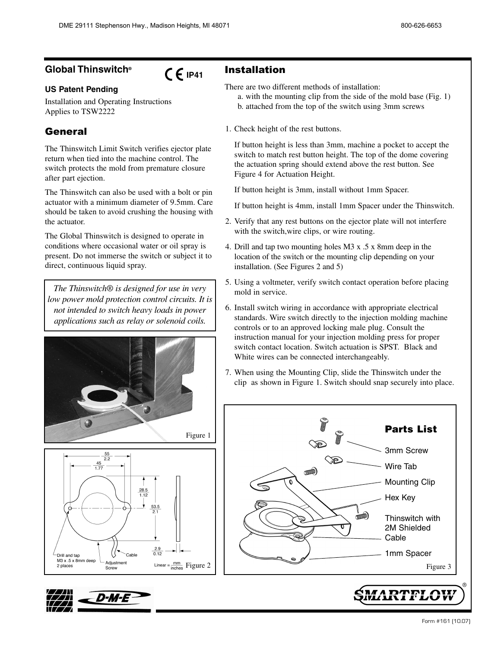## **Global Thinswitch®**

# $C \in$  IP41

### **US Patent Pending**

Installation and Operating Instructions Applies to TSW2222

## General

The Thinswitch Limit Switch verifies ejector plate return when tied into the machine control. The switch protects the mold from premature closure after part ejection.

The Thinswitch can also be used with a bolt or pin actuator with a minimum diameter of 9.5mm. Care should be taken to avoid crushing the housing with the actuator.

The Global Thinswitch is designed to operate in conditions where occasional water or oil spray is present. Do not immerse the switch or subject it to direct, continuous liquid spray.

*The Thinswitch® is designed for use in very low power mold protection control circuits. It is not intended to switch heavy loads in power applications such as relay or solenoid coils.*







Installation

There are two different methods of installation:

- a. with the mounting clip from the side of the mold base (Fig. 1) b. attached from the top of the switch using 3mm screws
- 1. Check height of the rest buttons.

If button height is less than 3mm, machine a pocket to accept the switch to match rest button height. The top of the dome covering the actuation spring should extend above the rest button. See Figure 4 for Actuation Height.

If button height is 3mm, install without 1mm Spacer.

If button height is 4mm, install 1mm Spacer under the Thinswitch.

- 2. Verify that any rest buttons on the ejector plate will not interfere with the switch, wire clips, or wire routing.
- 4. Drill and tap two mounting holes M3 x .5 x 8mm deep in the location of the switch or the mounting clip depending on your installation. (See Figures 2 and 5)
- 5. Using a voltmeter, verify switch contact operation before placing mold in service.
- 6. Install switch wiring in accordance with appropriate electrical standards. Wire switch directly to the injection molding machine controls or to an approved locking male plug. Consult the instruction manual for your injection molding press for proper switch contact location. Switch actuation is SPST. Black and White wires can be connected interchangeably.
- 7. When using the Mounting Clip, slide the Thinswitch under the clip as shown in Figure 1. Switch should snap securely into place.